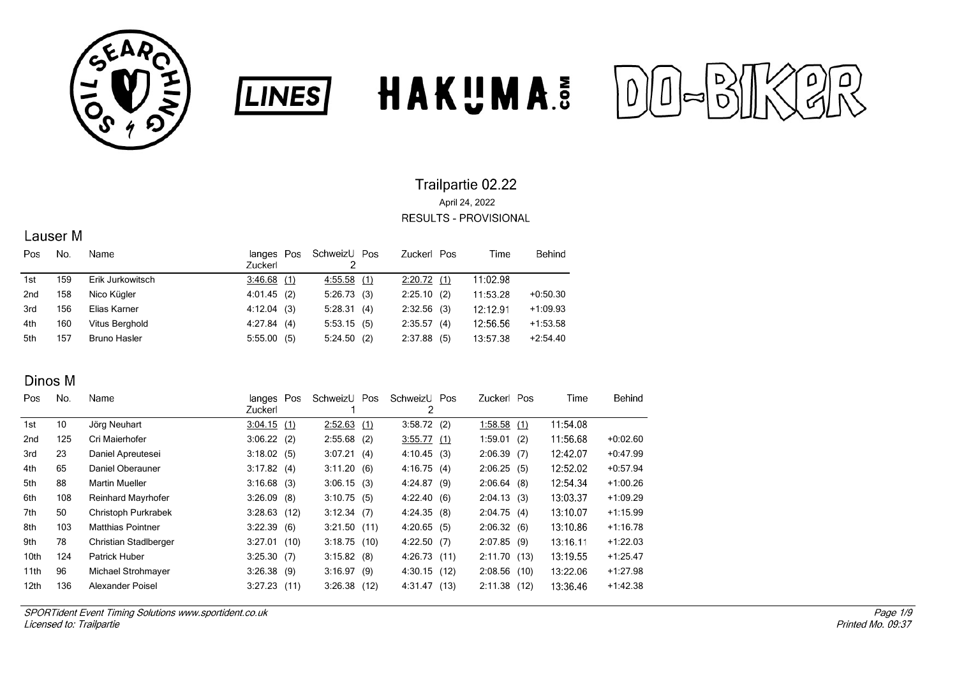





## Lauser<sub>M</sub>

| Pos | No. | Name                | Pos<br>langes<br>Zuckerl | SchweizU Pos<br>2 | Zuckerl Pos   | Time     | Behind     |
|-----|-----|---------------------|--------------------------|-------------------|---------------|----------|------------|
| 1st | 159 | Erik Jurkowitsch    | 3:46.68(1)               | 4:55.58(1)        | 2:20.72(1)    | 11:02.98 |            |
| 2nd | 158 | Nico Kügler         | 4:01.45(2)               | 5:26.73(3)        | $2:25.10$ (2) | 11:53.28 | $+0.50.30$ |
| 3rd | 156 | Elias Karner        | 4:12.04(3)               | 5:28.31(4)        | $2:32.56$ (3) | 12:12.91 | $+1:09.93$ |
| 4th | 160 | Vitus Berghold      | 4.27.84(4)               | 5:53.15(5)        | 2:35.57(4)    | 12:56.56 | $+1:53.58$ |
| 5th | 157 | <b>Bruno Hasler</b> | 5:55.00(5)               | 5:24.50(2)        | $2:37.88$ (5) | 13:57.38 | $+2:54.40$ |

### Dinos M

| Pos.             | No. | Name                      | langes Pos<br>Zuckerl | SchweizU      | Pos  | SchweizU Pos<br>2 |      | Zuckerl Pos    | Time     | Behind     |
|------------------|-----|---------------------------|-----------------------|---------------|------|-------------------|------|----------------|----------|------------|
| 1st              | 10  | Jörg Neuhart              | $3:04.15$ (1)         | 2:52.63       | (1)  | 3:58.72(2)        |      | 1:58.58(1)     | 11:54.08 |            |
| 2nd              | 125 | Cri Maierhofer            | 3:06.22(2)            | $2:55.68$ (2) |      | $3:55.77$ (1)     |      | 1:59.01(2)     | 11:56.68 | $+0.02.60$ |
| 3rd              | 23  | Daniel Apreutesei         | 3:18.02(5)            | 3:07.21(4)    |      | 4:10.45           | (3)  | 2:06.39(7)     | 12:42.07 | $+0.47.99$ |
| 4th              | 65  | Daniel Oberauner          | 3:17.82(4)            | 3:11.20(6)    |      | 4:16.75(4)        |      | 2:06.25(5)     | 12:52.02 | $+0.57.94$ |
| 5th              | 88  | <b>Martin Mueller</b>     | $3:16.68$ (3)         | 3:06.15(3)    |      | 4:24.87(9)        |      | 2:06.64(8)     | 12:54.34 | $+1:00.26$ |
| 6th              | 108 | <b>Reinhard Mayrhofer</b> | $3:26.09$ (8)         | 3:10.75(5)    |      | 4:22.40(6)        |      | 2:04.13(3)     | 13:03.37 | $+1:09.29$ |
| 7th              | 50  | Christoph Purkrabek       | $3:28.63$ (12)        | $3:12.34$ (7) |      | 4:24.35(8)        |      | 2:04.75(4)     | 13:10.07 | $+1:15.99$ |
| 8th              | 103 | <b>Matthias Pointner</b>  | 3:22.39(6)            | 3:21.50(11)   |      | 4:20.65           | (5)  | 2:06.32(6)     | 13:10.86 | $+1:16.78$ |
| 9th              | 78  | Christian Stadlberger     | $3:27.01$ (10)        | 3:18.75(10)   |      | 4:22.50(7)        |      | 2:07.85(9)     | 13:16.11 | $+1:22.03$ |
| 10th             | 124 | Patrick Huber             | 3:25.30(7)            | 3:15.82(8)    |      | 4:26.73           | (11) | 2:11.70(13)    | 13:19.55 | $+1.25.47$ |
| 11th             | 96  | Michael Strohmayer        | 3:26.38(9)            | 3:16.97(9)    |      | 4:30.15           | (12) | $2:08.56$ (10) | 13:22.06 | $+1.27.98$ |
| 12 <sub>th</sub> | 136 | Alexander Poisel          | $3:27.23$ (11)        | 3:26.38       | (12) | 4 31 47           | (13) | 2:11.38(12)    | 13:36.46 | $+1:42.38$ |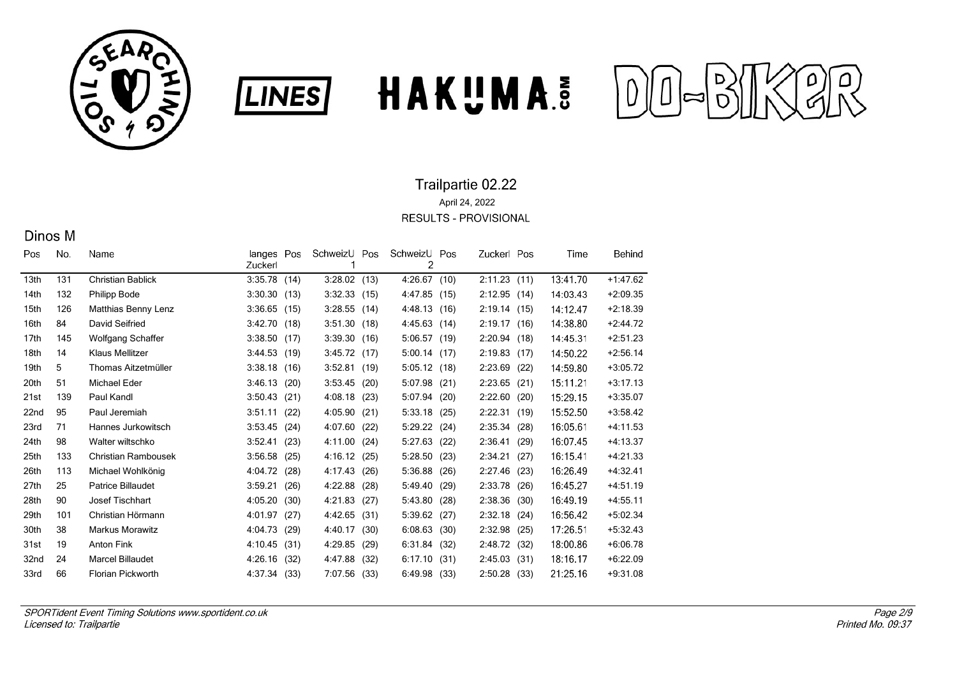





## Dinos M

| Pos              | No. | Name                     | langes<br>Zuckerl | Pos  | SchweizU | Pos  | SchweizU<br>2 | Pos  | Zuckerl Pos  |      | Time     | Behind     |
|------------------|-----|--------------------------|-------------------|------|----------|------|---------------|------|--------------|------|----------|------------|
| 13th             | 131 | <b>Christian Bablick</b> | 3:35.78           | (14) | 3:28.02  | (13) | 4:26.67       | (10) | 2:11.23(11)  |      | 13:41.70 | $+1:47.62$ |
| 14th             | 132 | <b>Philipp Bode</b>      | 3:30.30           | (13) | 3:32.33  | (15) | 4:47.85       | (15) | 2:12.95(14)  |      | 14:03.43 | $+2:09.35$ |
| 15th             | 126 | Matthias Benny Lenz      | 3:36.65           | (15) | 3:28.55  | (14) | 4:48.13       | (16) | 2:19.14(15)  |      | 14:12.47 | $+2:18.39$ |
| 16th             | 84  | David Seifried           | 3:42.70           | (18) | 3:51.30  | (18) | 4:45.63       | (14) | 2:19.17(16)  |      | 14:38.80 | $+2:44.72$ |
| 17 <sub>th</sub> | 145 | <b>Wolfgang Schaffer</b> | 3:38.50           | (17) | 3:39.30  | (16) | 5:06.57       | (19) | 2:20.94(18)  |      | 14:45.31 | $+2:51.23$ |
| 18th             | 14  | <b>Klaus Mellitzer</b>   | 3.44.53(19)       |      | 3:45.72  | (17) | 5:00.14       | (17) | 2:19.83(17)  |      | 14:50.22 | $+2:56.14$ |
| 19th             | 5   | Thomas Aitzetmüller      | 3:38.18           | (16) | 3:52.81  | (19) | 5:05.12       | (18) | 2:23.69      | (22) | 14:59.80 | $+3:05.72$ |
| 20th             | 51  | Michael Eder             | 3:46.13           | (20) | 3:53.45  | (20) | 5:07.98       | (21) | 2:23.65      | (21) | 15:11.21 | $+3:17.13$ |
| 21st             | 139 | Paul Kandl               | 3:50.43           | (21) | 4:08.18  | (23) | 5:07.94       | (20) | 2:22.60      | (20) | 15:29.15 | $+3:35.07$ |
| 22nd             | 95  | Paul Jeremiah            | 3:51.11           | (22) | 4:05.90  | (21) | 5:33.18       | (25) | 2:22.31      | (19) | 15:52.50 | $+3:58.42$ |
| 23rd             | 71  | Hannes Jurkowitsch       | 3:53.45           | (24) | 4:07.60  | (22) | 5:29.22       | (24) | 2:35.34      | (28) | 16:05.61 | $+4:11.53$ |
| 24th             | 98  | Walter wiltschko         | 3:52.41           | (23) | 4:11.00  | (24) | 5:27.63       | (22) | 2:36.41      | (29) | 16:07.45 | $+4:13.37$ |
| 25th             | 133 | Christian Rambousek      | 3:56.58           | (25) | 4:16.12  | (25) | 5:28.50       | (23) | 2:34.21      | (27) | 16:15.41 | $+4:21.33$ |
| 26th             | 113 | Michael Wohlkönig        | 4:04.72           | (28) | 4:17.43  | (26) | 5:36.88       | (26) | 2:27.46      | (23) | 16:26.49 | $+4:32.41$ |
| 27th             | 25  | <b>Patrice Billaudet</b> | 3:59.21           | (26) | 4:22.88  | (28) | 5:49.40       | (29) | 2:33.78      | (26) | 16:45.27 | $+4.51.19$ |
| 28th             | 90  | Josef Tischhart          | 4:05.20           | (30) | 4:21.83  | (27) | 5:43.80       | (28) | 2:38.36      | (30) | 16:49.19 | $+4.55.11$ |
| 29th             | 101 | Christian Hörmann        | 4:01.97           | (27) | 4:42.65  | (31) | 5:39.62       | (27) | 2:32.18      | (24) | 16:56.42 | $+5:02.34$ |
| 30th             | 38  | <b>Markus Morawitz</b>   | 4:04.73           | (29) | 4 40 17  | (30) | 6:08.63       | (30) | 2:32.98      | (25) | 17:26.51 | $+5:32.43$ |
| 31st             | 19  | <b>Anton Fink</b>        | 4:10.45           | (31) | 4:29.85  | (29) | 6:31.84       | (32) | 2:48.72 (32) |      | 18:00.86 | $+6:06.78$ |
| 32nd             | 24  | <b>Marcel Billaudet</b>  | 4:26.16           | (32) | 4:47.88  | (32) | 6:17.10       | (31) | 2:45.03      | (31) | 18:16.17 | $+6.22.09$ |
| 33rd             | 66  | Florian Pickworth        | 4:37.34           | (33) | 7:07.56  | (33) | 6:49.98       | (33) | 2:50.28      | (33) | 21:25.16 | $+9.31.08$ |
|                  |     |                          |                   |      |          |      |               |      |              |      |          |            |

**LINES**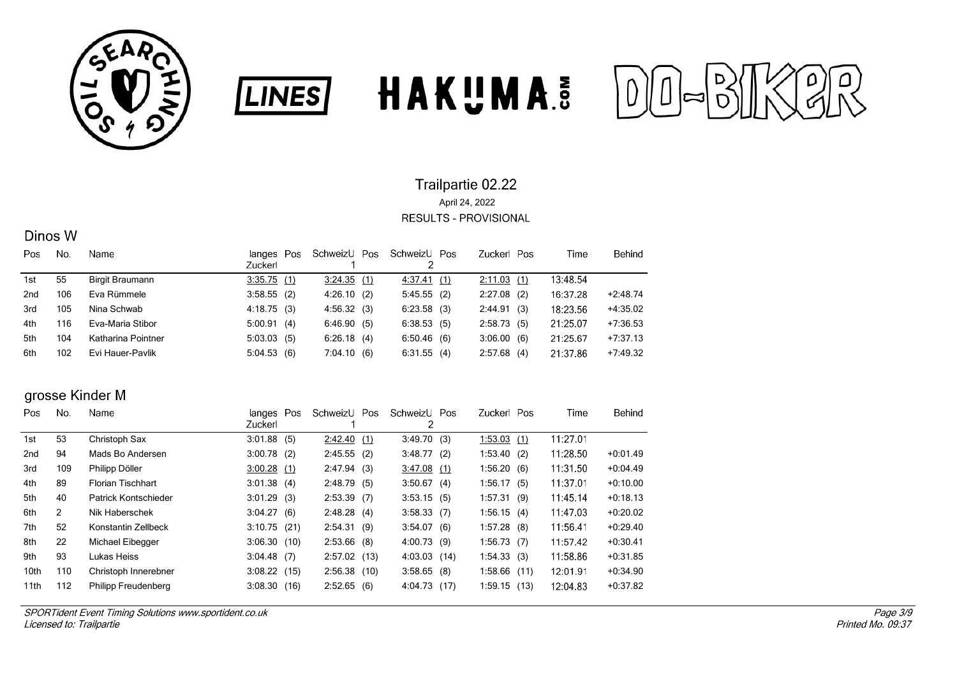





### Dinos W

| Pos             | No. | Name               | langes Pos<br><b>Zuckerl</b> | SchweizU   | Pos | SchweizU Pos  | Zuckerl Pos   | Time     | Behind     |
|-----------------|-----|--------------------|------------------------------|------------|-----|---------------|---------------|----------|------------|
| 1st             | 55  | Birgit Braumann    | 3:35.75(1)                   | 3:24.35(1) |     | 4.37.41(1)    | 2:11.03(1)    | 13:48.54 |            |
| 2 <sub>nd</sub> | 106 | Eva Rümmele        | $3:58.55$ (2)                | 4:26.10(2) |     | 5:45.55(2)    | $2:27.08$ (2) | 16:37.28 | $+2:48.74$ |
| 3rd             | 105 | Nina Schwab        | 4:18.75(3)                   | 4:56.32(3) |     | $6:23.58$ (3) | 2:44.91(3)    | 18:23.56 | $+4:35.02$ |
| 4th             | 116 | Eva-Maria Stibor   | 5:00.91(4)                   | 6:46.90(5) |     | 6:38.53(5)    | 2:58.73(5)    | 21.25.07 | $+7:36.53$ |
| 5th             | 104 | Katharina Pointner | 5:03.03(5)                   | 6:26.18    | (4) | 6:50.46(6)    | 3:06.00(6)    | 21.25.67 | $+7:37.13$ |
| 6th             | 102 | Evi Hauer-Pavlik   | 5:04.53(6)                   | 7:04.10(6) |     | 6:31.55(4)    | $2:57.68$ (4) | 21:37.86 | $+7:49.32$ |

**LINES** 

## grosse Kinder M

| Pos  | No.            | Name                     | langes Pos     |      | SchweizU       | Pos | SchweizU Pos   |      | Zuckerl Pos    | Time     | Behind     |
|------|----------------|--------------------------|----------------|------|----------------|-----|----------------|------|----------------|----------|------------|
|      |                |                          | Zuckerl        |      |                |     | 2              |      |                |          |            |
| 1st  | 53             | Christoph Sax            | 3:01.88        | (5)  | 2:42.40        | (1) | 3:49.70(3)     |      | 1:53.03(1)     | 11:27.01 |            |
| 2nd  | 94             | Mads Bo Andersen         | $3:00.78$ (2)  |      | 2:45.55(2)     |     | 3:48.77        | (2)  | 1:53.40(2)     | 11:28.50 | $+0.01.49$ |
| 3rd  | 109            | Philipp Döller           | 3:00.28(1)     |      | 2:47.94(3)     |     | 3.47.08(1)     |      | 1:56.20(6)     | 11:31.50 | $+0.04.49$ |
| 4th  | 89             | <b>Florian Tischhart</b> | 3:01.38(4)     |      | 2:48.79(5)     |     | 3:50.67(4)     |      | 1:56.17(5)     | 11:37.01 | $+0.10.00$ |
| 5th  | 40             | Patrick Kontschieder     | $3:01.29$ (3)  |      | $2:53.39$ (7)  |     | $3:53.15$ (5)  |      | 1:57.31(9)     | 11:45.14 | $+0.18.13$ |
| 6th  | $\overline{2}$ | Nik Haberschek           | 3:04.27(6)     |      | 2:48.28(4)     |     | $3:58.33$ (7)  |      | 1:56.15(4)     | 11:47.03 | $+0.20.02$ |
| 7th  | 52             | Konstantin Zellbeck      | 3:10.75(21)    |      | 2:54.31(9)     |     | 3:54.07(6)     |      | $1:57.28$ (8)  | 11:56.41 | $+0.29.40$ |
| 8th  | 22             | Michael Eibegger         | 3:06.30(10)    |      | $2:53.66$ (8)  |     | 4:00.73(9)     |      | 1:56.73(7)     | 11:57.42 | $+0.30.41$ |
| 9th  | 93             | Lukas Heiss              | $3:04.48$ (7)  |      | $2:57.02$ (13) |     | $4:03.03$ (14) |      | 1:54.33(3)     | 11:58.86 | $+0.31.85$ |
| 10th | 110            | Christoph Innerebner     | $3:08.22$ (15) |      | 2:56.38(10)    |     | 3:58.65        | (8)  | $1:58.66$ (11) | 12:01.91 | $+0.34.90$ |
| 11th | 112            | Philipp Freudenberg      | 3:08.30        | (16) | 2:52.65        | (6) | 4:04.73        | (17) | 1:59.15(13)    | 12:04.83 | $+0.37.82$ |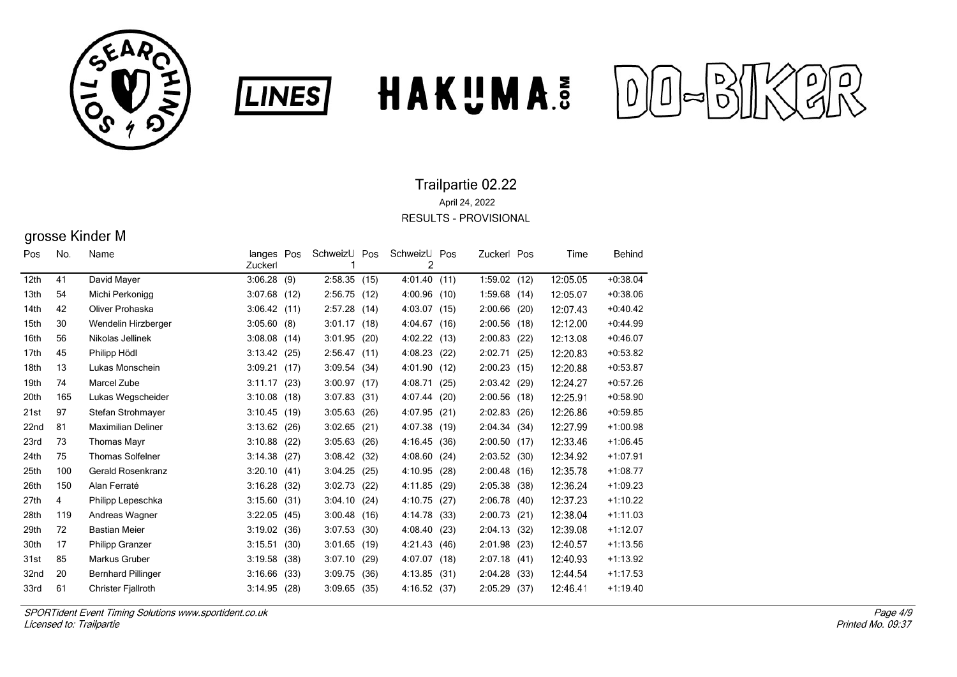





# grosse Kinder M

| Pos              | No. | Name                      | langes Pos<br>Zuckerl |      | SchweizU<br>1 | Pos  | SchweizU<br>2 | Pos  | Zuckerl Pos    |      | Time     | Behind     |
|------------------|-----|---------------------------|-----------------------|------|---------------|------|---------------|------|----------------|------|----------|------------|
| 12 <sub>th</sub> | 41  | David Mayer               | 3:06.28               | (9)  | 2:58.35       | (15) | 4:01.40       | (11) | 1:59.02(12)    |      | 12:05.05 | $+0.38.04$ |
| 13th             | 54  | Michi Perkonigg           | 3:07.68               | (12) | 2:56.75       | (12) | 4:00.96       | (10) | 1:59.68        | (14) | 12:05.07 | $+0.38.06$ |
| 14th             | 42  | Oliver Prohaska           | 3:06.42               | (11) | 2:57.28       | (14) | 4:03.07       | (15) | 2:00.66        | (20) | 12:07.43 | $+0.40.42$ |
| 15th             | 30  | Wendelin Hirzberger       | 3:05.60               | (8)  | 3:01.17       | (18) | 4:04.67       | (16) | 2:00.56        | (18) | 12:12.00 | $+0.44.99$ |
| 16th             | 56  | Nikolas Jellinek          | 3:08.08               | (14) | 3:01.95       | (20) | 4:02.22       | (13) | 2:00.83        | (22) | 12:13.08 | $+0.46.07$ |
| 17 <sub>th</sub> | 45  | Philipp Hödl              | 3:13.42               | (25) | 2:56.47       | (11) | 4:08.23       | (22) | 2:02.71        | (25) | 12:20.83 | $+0.53.82$ |
| 18th             | 13  | Lukas Monschein           | 3:09.21               | (17) | 3:09.54       | (34) | 4:01.90       | (12) | 2:00.23        | (15) | 12:20.88 | $+0.53.87$ |
| 19th             | 74  | Marcel Zube               | 3:11.17               | (23) | 3:00.97       | (17) | 4:08.71       | (25) | 2:03.42 (29)   |      | 12:24.27 | $+0.57.26$ |
| 20th             | 165 | Lukas Wegscheider         | 3:10.08               | (18) | 3:07.83       | (31) | 4:07.44       | (20) | $2:00.56$ (18) |      | 12:25.91 | $+0.58.90$ |
| 21st             | 97  | Stefan Strohmayer         | 3:10.45               | (19) | 3:05.63       | (26) | 4:07.95       | (21) | 2:02.83        | (26) | 12:26.86 | $+0.59.85$ |
| 22nd             | 81  | <b>Maximilian Deliner</b> | 3:13.62               | (26) | 3:02.65       | (21) | 4:07.38       | (19) | 2:04.34(34)    |      | 12:27.99 | $+1:00.98$ |
| 23rd             | 73  | <b>Thomas Mayr</b>        | 3:10.88               | (22) | 3:05.63       | (26) | 4:16.45       | (36) | 2:00.50(17)    |      | 12:33.46 | $+1:06.45$ |
| 24th             | 75  | <b>Thomas Solfelner</b>   | 3:14.38               | (27) | 3:08.42       | (32) | 4:08.60       | (24) | 2:03.52        | (30) | 12:34.92 | $+1:07.91$ |
| 25th             | 100 | Gerald Rosenkranz         | 3:20.10               | (41) | 3:04.25       | (25) | 4:10.95       | (28) | 2:00.48        | (16) | 12:35.78 | $+1:08.77$ |
| 26th             | 150 | Alan Ferraté              | 3:16.28               | (32) | 3:02.73       | (22) | 4:11.85       | (29) | 2:05.38        | (38) | 12:36.24 | $+1:09.23$ |
| 27th             | 4   | Philipp Lepeschka         | 3:15.60               | (31) | 3:04.10       | (24) | 4:10.75       | (27) | 2:06.78        | (40) | 12:37.23 | $+1:10.22$ |
| 28th             | 119 | Andreas Wagner            | 3:22.05               | (45) | 3:00.48       | (16) | 4:14.78       | (33) | 2:00.73        | (21) | 12:38.04 | $+1:11.03$ |
| 29th             | 72  | <b>Bastian Meier</b>      | 3:19.02               | (36) | 3:07.53       | (30) | 4:08.40       | (23) | 2:04.13        | (32) | 12:39.08 | $+1:12.07$ |
| 30th             | 17  | <b>Philipp Granzer</b>    | 3:15.51               | (30) | 3:01.65       | (19) | 4:21.43       | (46) | 2:01.98        | (23) | 12:40.57 | $+1:13.56$ |
| 31st             | 85  | Markus Gruber             | 3:19.58               | (38) | 3:07.10       | (29) | 4:07.07       | (18) | 2:07.18        | (41) | 12:40.93 | $+1:13.92$ |
| 32nd             | 20  | <b>Bernhard Pillinger</b> | 3:16.66               | (33) | 3:09.75       | (36) | 4:13.85       | (31) | 2:04.28        | (33) | 12:44.54 | $+1:17.53$ |
| 33rd             | 61  | <b>Christer Fjallroth</b> | 3:14.95               | (28) | 3:09.65       | (35) | 4:16.52       | (37) | 2:05.29 (37)   |      | 12:46.41 | $+1:19.40$ |
|                  |     |                           |                       |      |               |      |               |      |                |      |          |            |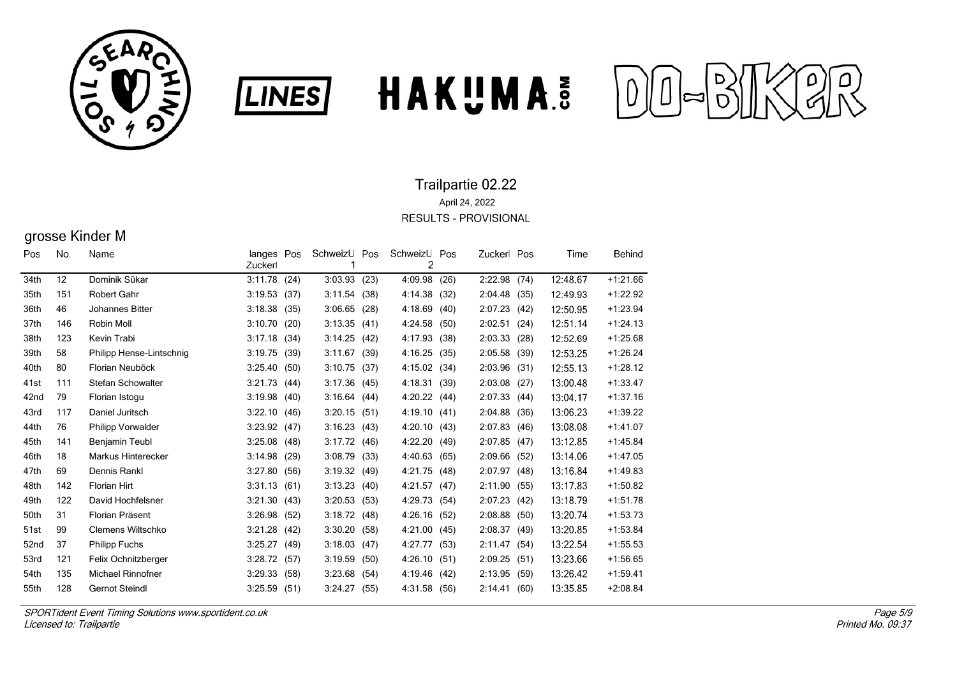





# grosse Kinder M

| Pos  | No. | Name                     | langes Pos<br>Zuckerl |      | SchweizU<br>1 | Pos  | SchweizU<br>2 | Pos  | Zuckerl Pos |      | Time     | Behind     |
|------|-----|--------------------------|-----------------------|------|---------------|------|---------------|------|-------------|------|----------|------------|
| 34th | 12  | Dominik Sükar            | 3:11.78               | (24) | 3:03.93       | (23) | 4:09.98       | (26) | 2:22.98     | (74) | 12:48.67 | $+1:21.66$ |
| 35th | 151 | <b>Robert Gahr</b>       | 3:19.53               | (37) | 3:11.54       | (38) | 4:14.38       | (32) | 2:04.48     | (35) | 12:49.93 | $+1:22.92$ |
| 36th | 46  | Johannes Bitter          | 3:18.38               | (35) | 3:06.65       | (28) | 4:18.69       | (40) | 2:07.23     | (42) | 12:50.95 | $+1:23.94$ |
| 37th | 146 | Robin Moll               | 3:10.70               | (20) | 3:13.35       | (41) | 4:24.58       | (50) | 2:02.51     | (24) | 12:51.14 | $+1:24.13$ |
| 38th | 123 | Kevin Trabi              | 3:17.18               | (34) | 3:14.25       | (42) | 4:17.93       | (38) | 2:03.33     | (28) | 12:52.69 | $+1:25.68$ |
| 39th | 58  | Philipp Hense-Lintschnig | 3:19.75               | (39) | 3:11.67       | (39) | 4:16.25       | (35) | 2:05.58     | (39) | 12:53.25 | $+1:26.24$ |
| 40th | 80  | Florian Neuböck          | 3:25.40               | (50) | 3:10.75       | (37) | 4:15.02       | (34) | 2:03.96     | (31) | 12:55.13 | $+1:28.12$ |
| 41st | 111 | Stefan Schowalter        | 3:21.73               | (44) | 3:17.36       | (45) | 4:18.31       | (39) | 2:03.08     | (27) | 13:00.48 | $+1:33.47$ |
| 42nd | 79  | Florian Istogu           | 3:19.98               | (40) | 3:16.64       | (44) | 4:20.22       | (44) | 2:07.33     | (44) | 13:04.17 | $+1:37.16$ |
| 43rd | 117 | Daniel Juritsch          | 3:22.10               | (46) | 3:20.15       | (51) | 4:19.10       | (41) | 2:04.88     | (36) | 13:06.23 | $+1:39.22$ |
| 44th | 76  | <b>Philipp Vorwalder</b> | 3:23.92               | (47) | 3:16.23       | (43) | 4:20.10       | (43) | 2:07.83     | (46) | 13:08.08 | $+1:41.07$ |
| 45th | 141 | Benjamin Teubl           | 3:25.08               | (48) | 3:17.72       | (46) | 4:22.20       | (49) | 2:07.85     | (47) | 13:12.85 | $+1.45.84$ |
| 46th | 18  | Markus Hinterecker       | 3:14.98               | (29) | 3:08.79       | (33) | 4:40.63       | (65) | 2:09.66     | (52) | 13:14.06 | $+1.47.05$ |
| 47th | 69  | Dennis Rankl             | 3:27.80               | (56) | 3:19.32       | (49) | 4:21.75       | (48) | 2:07.97     | (48) | 13:16.84 | $+1:49.83$ |
| 48th | 142 | <b>Florian Hirt</b>      | 3:31.13               | (61) | 3:13.23       | (40) | 4:21.57       | (47) | 2:11.90     | (55) | 13:17.83 | $+1:50.82$ |
| 49th | 122 | David Hochfelsner        | 3:21.30               | (43) | 3:20.53       | (53) | 4:29.73       | (54) | 2:07.23     | (42) | 13:18.79 | $+1:51.78$ |
| 50th | 31  | Florian Präsent          | 3:26.98               | (52) | 3:18.72       | (48) | 4:26.16       | (52) | 2:08.88     | (50) | 13:20.74 | $+1:53.73$ |
| 51st | 99  | Clemens Wiltschko        | 3:21.28               | (42) | 3:30.20       | (58) | 4:21.00       | (45) | 2:08.37     | (49) | 13:20.85 | $+1:53.84$ |
| 52nd | 37  | <b>Philipp Fuchs</b>     | 3:25.27               | (49) | 3:18.03       | (47) | 4:27.77       | (53) | 2:11.47     | (54) | 13:22.54 | $+1:55.53$ |
| 53rd | 121 | Felix Ochnitzberger      | 3:28.72               | (57) | 3:19.59       | (50) | 4:26.10       | (51) | 2:09.25     | (51) | 13:23.66 | $+1:56.65$ |
| 54th | 135 | <b>Michael Rinnofner</b> | 3:29.33               | (58) | 3:23.68       | (54) | 4:19.46       | (42) | 2:13.95     | (59) | 13:26.42 | $+1.59.41$ |
| 55th | 128 | <b>Gernot Steindl</b>    | 3:25.59               | (51) | 3:24.27       | (55) | 4:31.58       | (56) | 2:14.41     | (60) | 13:35.85 | $+2:08.84$ |
|      |     |                          |                       |      |               |      |               |      |             |      |          |            |

**LINES**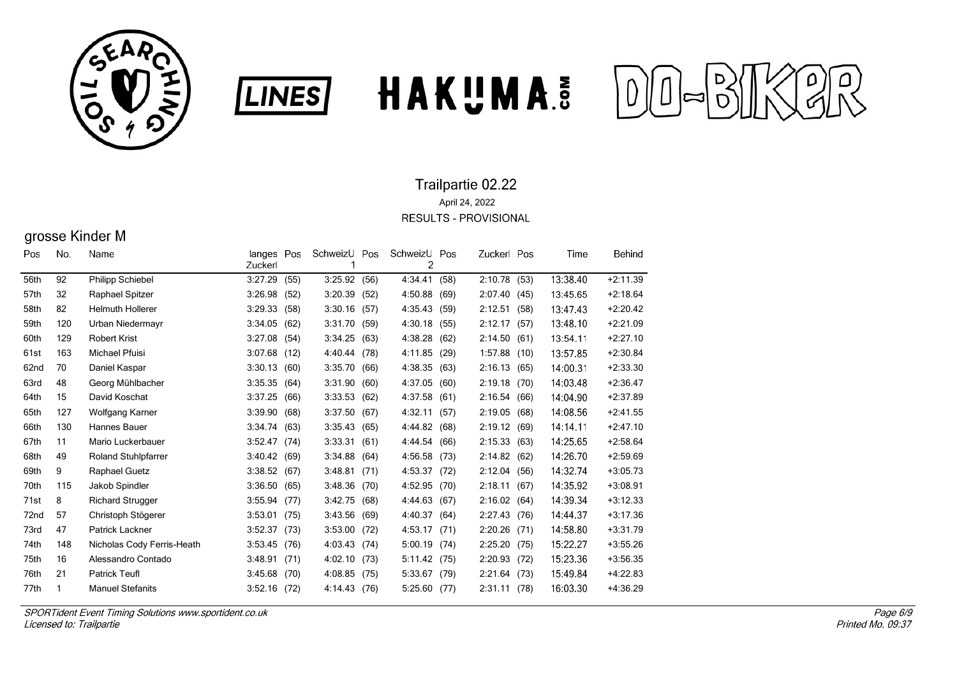





# grosse Kinder M

| Pos  | No. | Name                       | langes Pos<br>Zuckerl |      | SchweizU<br>1 | Pos  | SchweizU<br>2 | Pos  | Zuckerl Pos  |      | Time     | Behind     |
|------|-----|----------------------------|-----------------------|------|---------------|------|---------------|------|--------------|------|----------|------------|
| 56th | 92  | <b>Philipp Schiebel</b>    | 3:27.29               | (55) | 3:25.92       | (56) | 4 34 41       | (58) | 2:10.78 (53) |      | 13:38.40 | $+2:11.39$ |
| 57th | 32  | Raphael Spitzer            | 3:26.98               | (52) | 3:20.39       | (52) | 4:50.88       | (69) | 2:07.40      | (45) | 13:45.65 | $+2:18.64$ |
| 58th | 82  | <b>Helmuth Hollerer</b>    | 3:29.33               | (58) | 3:30.16       | (57) | 4:35.43       | (59) | 2:12.51      | (58) | 13:47.43 | $+2:20.42$ |
| 59th | 120 | Urban Niedermayr           | 3:34.05               | (62) | 3:31.70       | (59) | 4:30.18       | (55) | 2:12.17      | (57) | 13:48.10 | $+2:21.09$ |
| 60th | 129 | <b>Robert Krist</b>        | 3:27.08               | (54) | 3:34.25       | (63) | 4:38.28       | (62) | 2:14.50      | (61) | 13:54.11 | $+2:27.10$ |
| 61st | 163 | Michael Pfuisi             | 3:07.68               | (12) | 4:40.44       | (78) | 4:11.85       | (29) | 1:57.88      | (10) | 13:57.85 | $+2:30.84$ |
| 62nd | 70  | Daniel Kaspar              | 3:30.13               | (60) | 3:35.70       | (66) | 4:38.35       | (63) | 2:16.13      | (65) | 14:00.31 | $+2:33.30$ |
| 63rd | 48  | Georg Mühlbacher           | 3:35.35               | (64) | 3:31.90       | (60) | 4:37.05       | (60) | 2:19.18      | (70) | 14:03.48 | $+2:36.47$ |
| 64th | 15  | David Koschat              | 3:37.25               | (66) | 3:33.53       | (62) | 4:37.58       | (61) | 2:16.54(66)  |      | 14:04.90 | $+2:37.89$ |
| 65th | 127 | Wolfgang Karner            | 3:39.90               | (68) | 3:37.50       | (67) | 4:32.11       | (57) | 2:19.05      | (68) | 14:08.56 | $+2:41.55$ |
| 66th | 130 | Hannes Bauer               | 3:34.74               | (63) | 3:35.43       | (65) | 4:44.82       | (68) | 2:19.12      | (69) | 14:14.11 | $+2:47.10$ |
| 67th | 11  | Mario Luckerbauer          | 3:52.47               | (74) | 3:33.31       | (61) | 4:44.54       | (66) | 2:15.33      | (63) | 14:25.65 | $+2:58.64$ |
| 68th | 49  | <b>Roland Stuhlpfarrer</b> | 3:40.42               | (69) | 3:34.88       | (64) | 4:56.58       | (73) | 2:14.82      | (62) | 14:26.70 | $+2:59.69$ |
| 69th | 9   | Raphael Guetz              | 3:38.52               | (67) | 3:48.81       | (71) | 4:53.37       | (72) | 2:12.04      | (56) | 14:32.74 | $+3:05.73$ |
| 70th | 115 | Jakob Spindler             | 3:36.50               | (65) | 3:48.36       | (70) | 4:52.95       | (70) | 2:18.11      | (67) | 14:35.92 | $+3:08.91$ |
| 71st | 8   | <b>Richard Strugger</b>    | 3:55.94               | (77) | 3:42.75       | (68) | 4:44.63       | (67) | 2:16.02(64)  |      | 14:39.34 | $+3:12.33$ |
| 72nd | 57  | Christoph Stögerer         | 3:53.01               | (75) | 3:43.56       | (69) | 4:40.37       | (64) | 2:27.43      | (76) | 14:44.37 | $+3:17.36$ |
| 73rd | 47  | Patrick Lackner            | 3:52.37               | (73) | 3:53.00       | (72) | 4:53.17       | (71) | 2:20.26      | (71) | 14:58.80 | $+3:31.79$ |
| 74th | 148 | Nicholas Cody Ferris-Heath | 3:53.45               | (76) | 4:03.43       | (74) | 5:00.19       | (74) | 2:25.20      | (75) | 15:22.27 | $+3:55.26$ |
| 75th | 16  | Alessandro Contado         | 3:48.91               | (71) | 4:02.10       | (73) | 5:11.42       | (75) | 2:20.93      | (72) | 15:23.36 | $+3:56.35$ |
| 76th | 21  | <b>Patrick Teufl</b>       | 3:45.68               | (70) | 4:08.85       | (75) | 5:33.67       | (79) | 2:21.64      | (73) | 15:49.84 | $+4:22.83$ |
| 77th | 1   | <b>Manuel Stefanits</b>    | 3:52.16               | (72) | 4:14:43       | (76) | 5:25.60       | (77) | 2:31.11      | (78) | 16:03.30 | $+4:36.29$ |
|      |     |                            |                       |      |               |      |               |      |              |      |          |            |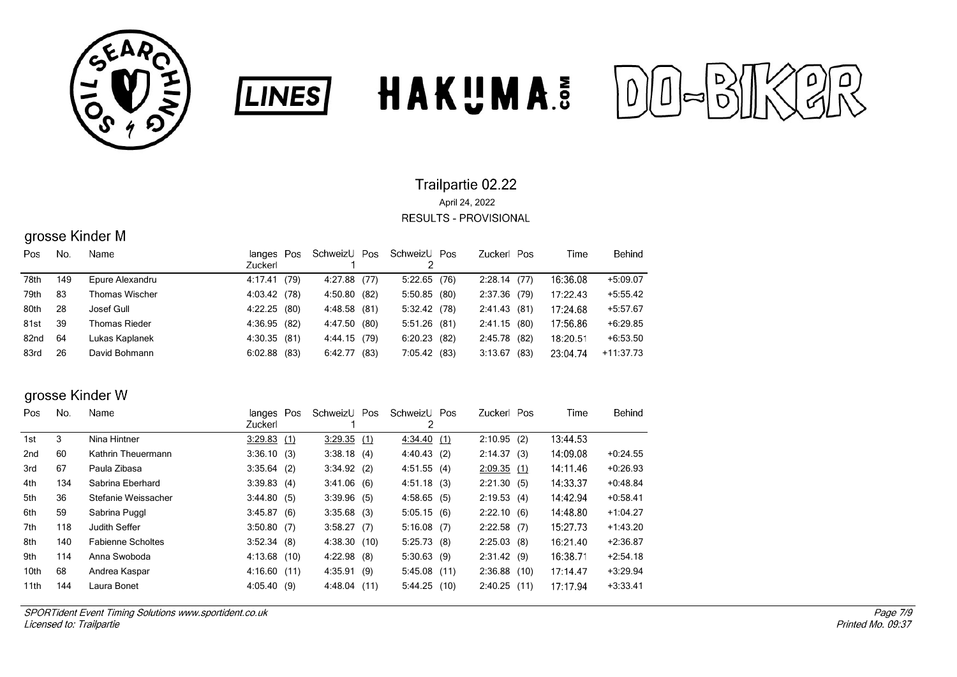





# grosse Kinder M

| Pos  | No. | Name                 | langes Pos<br>Zuckerl |      | SchweizU Pos |      | SchweizU Pos   | Zuckerl Pos |      | Time     | Behind      |
|------|-----|----------------------|-----------------------|------|--------------|------|----------------|-------------|------|----------|-------------|
| 78th | 149 | Epure Alexandru      | 4:17.41               | (79) | 4:27.88      | (77) | $5:22.65$ (76) | 2:28.14(77) |      | 16:36.08 | $+5:09.07$  |
| 79th | 83  | Thomas Wischer       | 4:03.42 (78)          |      | 4:50.80      | (82) | 5:50.85(80)    | 2:37.36     | (79) | 17:22.43 | $+5:55.42$  |
| 80th | 28  | Josef Gull           | 4:22.25 (80)          |      | 4:48.58      | (81) | 5:32.42 (78)   | 2:41.43(81) |      | 17:24.68 | $+5:57.67$  |
| 81st | 39  | <b>Thomas Rieder</b> | 4:36.95 (82)          |      | 4:47.50      | (80) | 5:51.26(81)    | 2:41.15(80) |      | 17:56.86 | $+6:29.85$  |
| 82nd | 64  | Lukas Kaplanek       | 4:30.35(81)           |      | 4:44.15      | (79) | $6:20.23$ (82) | 2:45.78     | (82) | 18:20.51 | $+6:53.50$  |
| 83rd | 26  | David Bohmann        | $6:02.88$ (83)        |      | 6:42.77      | (83) | 7:05.42 (83)   | 3:13.67     | (83) | 23:04.74 | $+11:37.73$ |

## grosse Kinder W

| No. | Name                     |                |                                                                                                                                                                           |                                                                                                                                                                              |              |                                                                                                                                                                          | Time                                                                                                                                                                             | Behind     |
|-----|--------------------------|----------------|---------------------------------------------------------------------------------------------------------------------------------------------------------------------------|------------------------------------------------------------------------------------------------------------------------------------------------------------------------------|--------------|--------------------------------------------------------------------------------------------------------------------------------------------------------------------------|----------------------------------------------------------------------------------------------------------------------------------------------------------------------------------|------------|
|     |                          |                |                                                                                                                                                                           |                                                                                                                                                                              |              |                                                                                                                                                                          |                                                                                                                                                                                  |            |
| 3   | Nina Hintner             |                | 3:29.35                                                                                                                                                                   |                                                                                                                                                                              |              |                                                                                                                                                                          | 13:44.53                                                                                                                                                                         |            |
| 60  | Kathrin Theuermann       |                |                                                                                                                                                                           |                                                                                                                                                                              |              |                                                                                                                                                                          | 14:09.08                                                                                                                                                                         | $+0.24.55$ |
| 67  | Paula Zibasa             |                |                                                                                                                                                                           |                                                                                                                                                                              |              |                                                                                                                                                                          | 14:11.46                                                                                                                                                                         | $+0.26.93$ |
| 134 | Sabrina Eberhard         |                |                                                                                                                                                                           |                                                                                                                                                                              |              |                                                                                                                                                                          | 14:33.37                                                                                                                                                                         | $+0.48.84$ |
| 36  | Stefanie Weissacher      |                |                                                                                                                                                                           |                                                                                                                                                                              |              |                                                                                                                                                                          | 14:42.94                                                                                                                                                                         | $+0.58.41$ |
| 59  | Sabrina Puggl            |                |                                                                                                                                                                           |                                                                                                                                                                              |              |                                                                                                                                                                          | 14:48.80                                                                                                                                                                         | $+1:04.27$ |
| 118 | Judith Seffer            |                |                                                                                                                                                                           |                                                                                                                                                                              |              |                                                                                                                                                                          | 15:27.73                                                                                                                                                                         | $+1:43.20$ |
| 140 | <b>Fabienne Scholtes</b> |                |                                                                                                                                                                           |                                                                                                                                                                              |              |                                                                                                                                                                          | 16:21.40                                                                                                                                                                         | $+2:36.87$ |
| 114 | Anna Swoboda             |                |                                                                                                                                                                           |                                                                                                                                                                              |              |                                                                                                                                                                          | 16:38.71                                                                                                                                                                         | $+2:54.18$ |
| 68  | Andrea Kaspar            |                | 4:35.91                                                                                                                                                                   |                                                                                                                                                                              |              |                                                                                                                                                                          | 17:14.47                                                                                                                                                                         | $+3:29.94$ |
| 144 | Laura Bonet              |                |                                                                                                                                                                           |                                                                                                                                                                              |              |                                                                                                                                                                          | 17:17.94                                                                                                                                                                         | $+3:33.41$ |
|     |                          | <b>Zuckerl</b> | langes Pos<br>3:29.83(1)<br>3:36.10(3)<br>$3:35.64$ (2)<br>3:39.83(4)<br>3:44.80(5)<br>3.45.87(6)<br>3:50.80(7)<br>3:52.34(8)<br>4:13.68(10)<br>4:16.60(11)<br>4:05.40(9) | SchweizU Pos<br>(1)<br>$3:38.18$ (4)<br>3:34.92(2)<br>3:41.06(6)<br>$3:39.96$ (5)<br>$3:35.68$ (3)<br>3:58.27(7)<br>4:38.30 (10)<br>4:22.98<br>(8)<br>(9)<br>4:48.04<br>(11) | 2<br>5:44.25 | SchweizU Pos<br>4:34.40(1)<br>4:40.43<br>(2)<br>4:51.55(4)<br>4:51.18(3)<br>4:58.65(5)<br>5:05.15(6)<br>$5:16.08$ (7)<br>5:25.73(8)<br>5:30.63(9)<br>5:45.08(11)<br>(10) | Zuckerl Pos<br>2:10.95(2)<br>2:14.37(3)<br>2:09.35(1)<br>2:21.30(5)<br>2:19.53(4)<br>2:22.10(6)<br>$2:22.58$ (7)<br>$2:25.03$ (8)<br>2:31.42(9)<br>$2:36.88$ (10)<br>2:40.25(11) |            |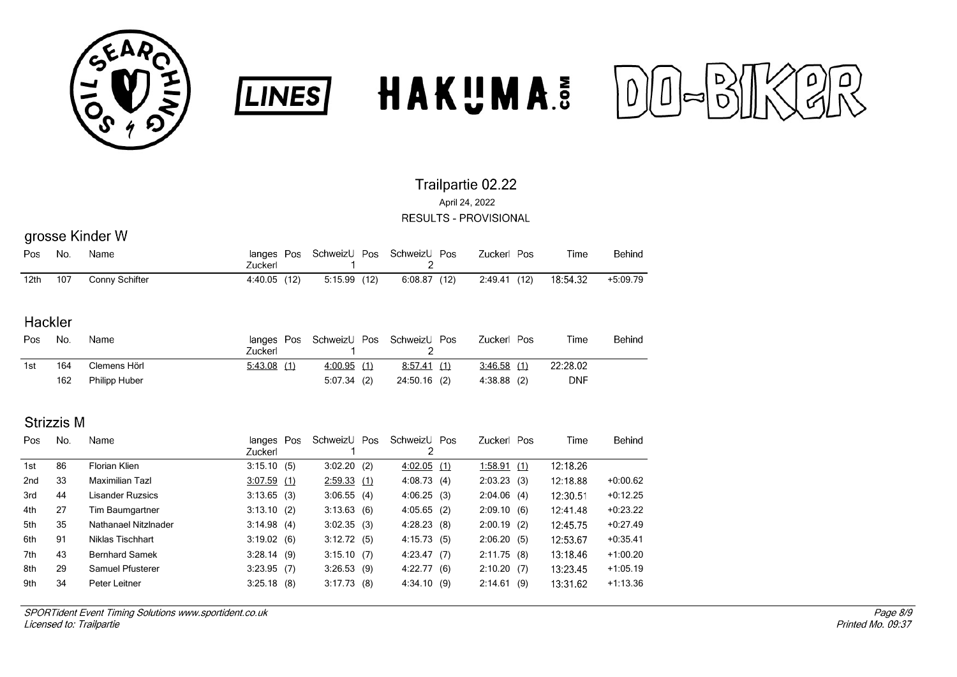





# grosse Kinder W

| Pos  | No. | Name           | Zuckerl      | langes Pos SchweizU Pos SchweizU Pos |             | Zuckerl Pos  | Time     | Behind   |
|------|-----|----------------|--------------|--------------------------------------|-------------|--------------|----------|----------|
| 12th | 107 | Conny Schifter | 4:40.05 (12) | 5:15.99 (12)                         | 6:08.87(12) | 2:49.41 (12) | 18:54.32 | +5:09.79 |

**LINES** 

### Hackler

| Pos | No. | Name                 | langes<br>Zuckerl | Pos |            | SchweizU Pos SchweizU Pos | Zuckerl Pos   | Time     | Behind |
|-----|-----|----------------------|-------------------|-----|------------|---------------------------|---------------|----------|--------|
| 1st | 164 | Clemens Hörl         | 5.43.08(1)        |     | 4:00.95(1) | (1)<br>8:57.41            | $3:46.58$ (1) | 22:28.02 |        |
|     | 162 | <b>Philipp Huber</b> |                   |     | 5:07.34(2) | 24:50.16 (2)              | $4:38.88$ (2) | DNF      |        |

## **Strizzis M**

| Pos. | No. | Name                  | langes Pos<br>Zuckerl | SchweizU Pos  | SchweizU Pos<br>2 |     | Zuckerl Pos   |     | Time     | Behind     |
|------|-----|-----------------------|-----------------------|---------------|-------------------|-----|---------------|-----|----------|------------|
| 1st  | 86  | Florian Klien         | 3:15.10(5)            | $3:02.20$ (2) | 4:02.05(1)        |     | 1:58.91       | (1) | 12:18.26 |            |
| 2nd  | 33  | Maximilian Tazl       | 3:07.59(1)            | 2:59.33(1)    | 4:08.73           | (4) | $2:03.23$ (3) |     | 12:18.88 | $+0.00.62$ |
| 3rd  | 44  | Lisander Ruzsics      | $3:13.65$ (3)         | 3:06.55(4)    | 4:06.25(3)        |     | 2:04.06(4)    |     | 12:30.51 | $+0.12.25$ |
| 4th  | 27  | Tim Baumgartner       | 3:13.10(2)            | 3:13.63(6)    | $4:05.65$ (2)     |     | 2:09.10(6)    |     | 12:41.48 | $+0.23.22$ |
| 5th  | 35  | Nathanael Nitzlnader  | 3:14.98(4)            | 3:02.35(3)    | 4:28.23           | (8) | $2:00.19$ (2) |     | 12:45.75 | $+0.27.49$ |
| 6th  | 91  | Niklas Tischhart      | 3:19.02(6)            | 3:12.72(5)    | 4:15.73(5)        |     | 2:06.20(5)    |     | 12:53.67 | $+0.35.41$ |
| 7th  | 43  | <b>Bernhard Samek</b> | 3:28.14(9)            | 3:15.10(7)    | 4:23.47           | (7) | 2:11.75(8)    |     | 13:18.46 | $+1:00.20$ |
| 8th  | 29  | Samuel Pfusterer      | $3:23.95$ (7)         | 3:26.53(9)    | 4:22.77           | (6) | 2:10.20(7)    |     | 13:23.45 | $+1:05.19$ |
| 9th  | 34  | Peter Leitner         | $3:25.18$ (8)         | 3:17.73(8)    | 4:34.10(9)        |     | 2:14.61       | (9) | 13:31.62 | $+1:13.36$ |